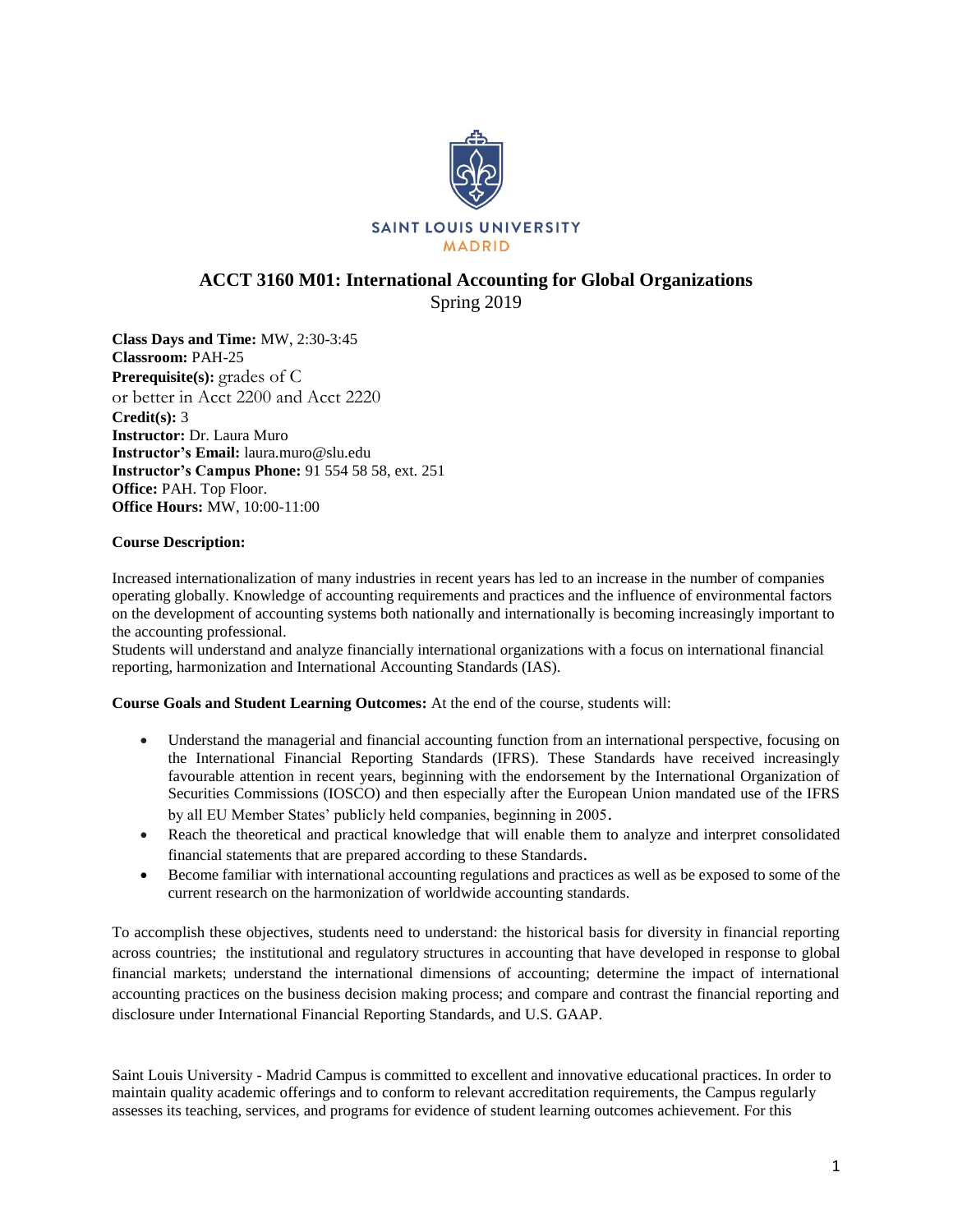

# **ACCT 3160 M01: International Accounting for Global Organizations** Spring 2019

**Class Days and Time:** MW, 2:30-3:45 **Classroom:** PAH-25 **Prerequisite(s):** grades of C or better in Acct 2200 and Acct 2220 **Credit(s):** 3 **Instructor:** Dr. Laura Muro **Instructor's Email:** laura.muro@slu.edu **Instructor's Campus Phone:** 91 554 58 58, ext. 251 **Office:** PAH. Top Floor. **Office Hours:** MW, 10:00-11:00

# **Course Description:**

Increased internationalization of many industries in recent years has led to an increase in the number of companies operating globally. Knowledge of accounting requirements and practices and the influence of environmental factors on the development of accounting systems both nationally and internationally is becoming increasingly important to the accounting professional.

Students will understand and analyze financially international organizations with a focus on international financial reporting, harmonization and International Accounting Standards (IAS).

**Course Goals and Student Learning Outcomes:** At the end of the course, students will:

- Understand the managerial and financial accounting function from an international perspective, focusing on the International Financial Reporting Standards (IFRS). These Standards have received increasingly favourable attention in recent years, beginning with the endorsement by the International Organization of Securities Commissions (IOSCO) and then especially after the European Union mandated use of the IFRS by all EU Member States' publicly held companies, beginning in 2005.
- Reach the theoretical and practical knowledge that will enable them to analyze and interpret consolidated financial statements that are prepared according to these Standards.
- Become familiar with international accounting regulations and practices as well as be exposed to some of the current research on the harmonization of worldwide accounting standards.

To accomplish these objectives, students need to understand: the historical basis for diversity in financial reporting across countries; the institutional and regulatory structures in accounting that have developed in response to global financial markets; understand the international dimensions of accounting; determine the impact of international accounting practices on the business decision making process; and compare and contrast the financial reporting and disclosure under International Financial Reporting Standards, and U.S. GAAP.

Saint Louis University - Madrid Campus is committed to excellent and innovative educational practices. In order to maintain quality academic offerings and to conform to relevant accreditation requirements, the Campus regularly assesses its teaching, services, and programs for evidence of student learning outcomes achievement. For this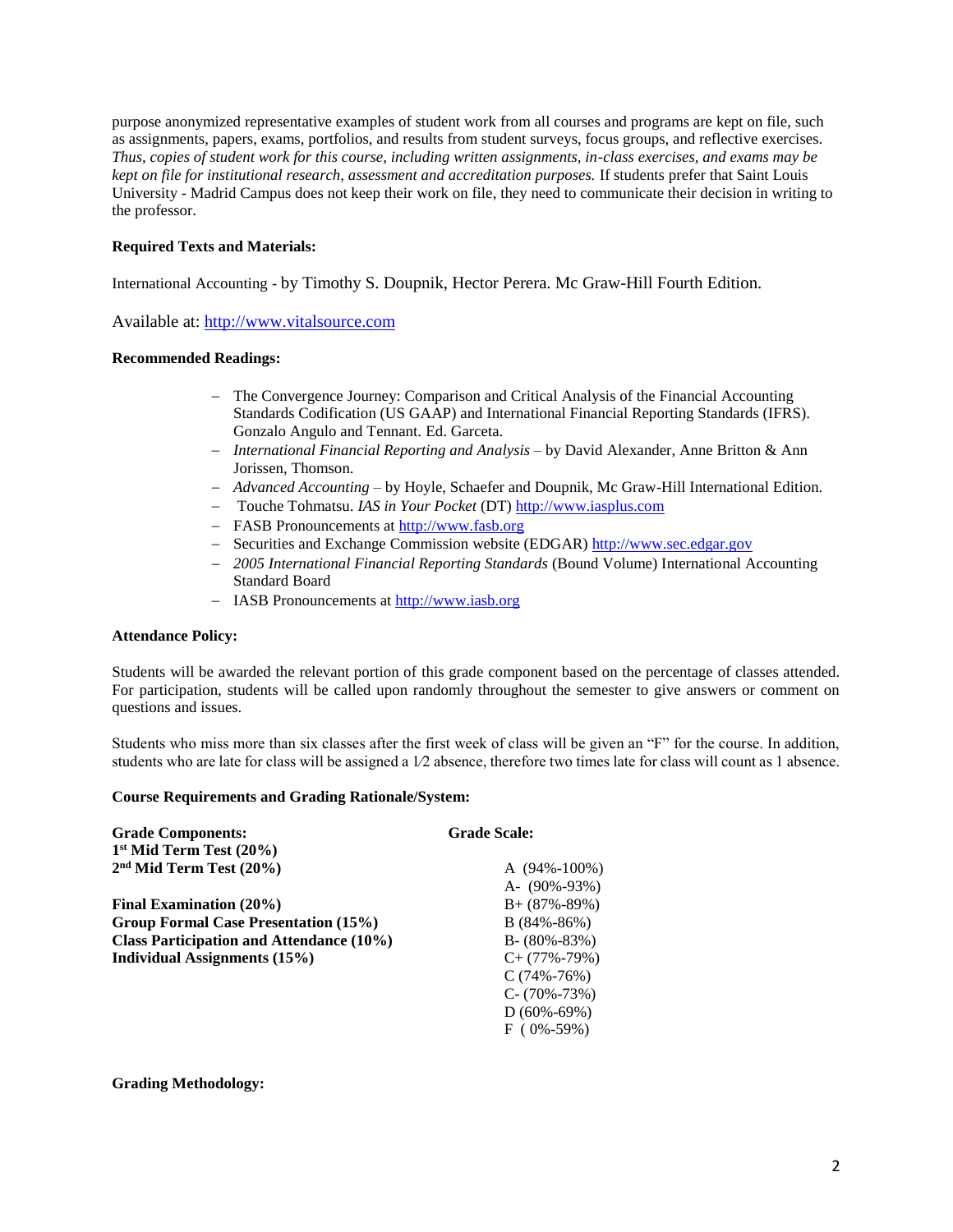purpose anonymized representative examples of student work from all courses and programs are kept on file, such as assignments, papers, exams, portfolios, and results from student surveys, focus groups, and reflective exercises. *Thus, copies of student work for this course, including written assignments, in-class exercises, and exams may be kept on file for institutional research, assessment and accreditation purposes.* If students prefer that Saint Louis University - Madrid Campus does not keep their work on file, they need to communicate their decision in writing to the professor.

### **Required Texts and Materials:**

International Accounting - by Timothy S. Doupnik, Hector Perera. Mc Graw-Hill Fourth Edition.

Available at: [http://www.vitalsource.com](http://www.vitalsource.com/) 

# **Recommended Readings:**

- − The Convergence Journey: Comparison and Critical Analysis of the Financial Accounting Standards Codification (US GAAP) and International Financial Reporting Standards (IFRS). Gonzalo Angulo and Tennant. Ed. Garceta.
- − *International Financial Reporting and Analysis*  by David Alexander, Anne Britton & Ann Jorissen, Thomson.
- − *Advanced Accounting*  by Hoyle, Schaefer and Doupnik, Mc Graw-Hill International Edition.
- − Touche Tohmatsu. *IAS in Your Pocket* (DT) [http://www.iasplus.com](http://www.iasplus.com/)
- − FASB Pronouncements at [http://www.fasb.org](http://www.fasb.org/)
- − Securities and Exchange Commission website (EDGAR) [http://www.sec.edgar.gov](http://www.sec.edgar.gov/)
- − *2005 International Financial Reporting Standards* (Bound Volume) International Accounting Standard Board
- − IASB Pronouncements at [http://www.iasb.org](http://www.iasb.org/)

### **Attendance Policy:**

Students will be awarded the relevant portion of this grade component based on the percentage of classes attended. For participation, students will be called upon randomly throughout the semester to give answers or comment on questions and issues.

Students who miss more than six classes after the first week of class will be given an "F" for the course. In addition, students who are late for class will be assigned a 1⁄2 absence, therefore two times late for class will count as 1 absence.

# **Course Requirements and Grading Rationale/System:**

| <b>Grade Components:</b>                 | <b>Grade Scale:</b> |
|------------------------------------------|---------------------|
| $1st$ Mid Term Test (20%)                |                     |
| $2nd$ Mid Term Test (20%)                | A $(94\% - 100\%)$  |
|                                          | A- $(90\% - 93\%)$  |
| Final Examination (20%)                  | $B + (87\% - 89\%)$ |
| Group Formal Case Presentation (15%)     | $B(84\% - 86\%)$    |
| Class Participation and Attendance (10%) | $B - (80\% - 83\%)$ |
| Individual Assignments (15%)             | $C+$ (77%-79%)      |
|                                          | $C(74\% - 76\%)$    |
|                                          | $C - (70\% - 73\%)$ |
|                                          | $D(60\% - 69\%)$    |
|                                          | $F(0\% - 59\%)$     |

### **Grading Methodology:**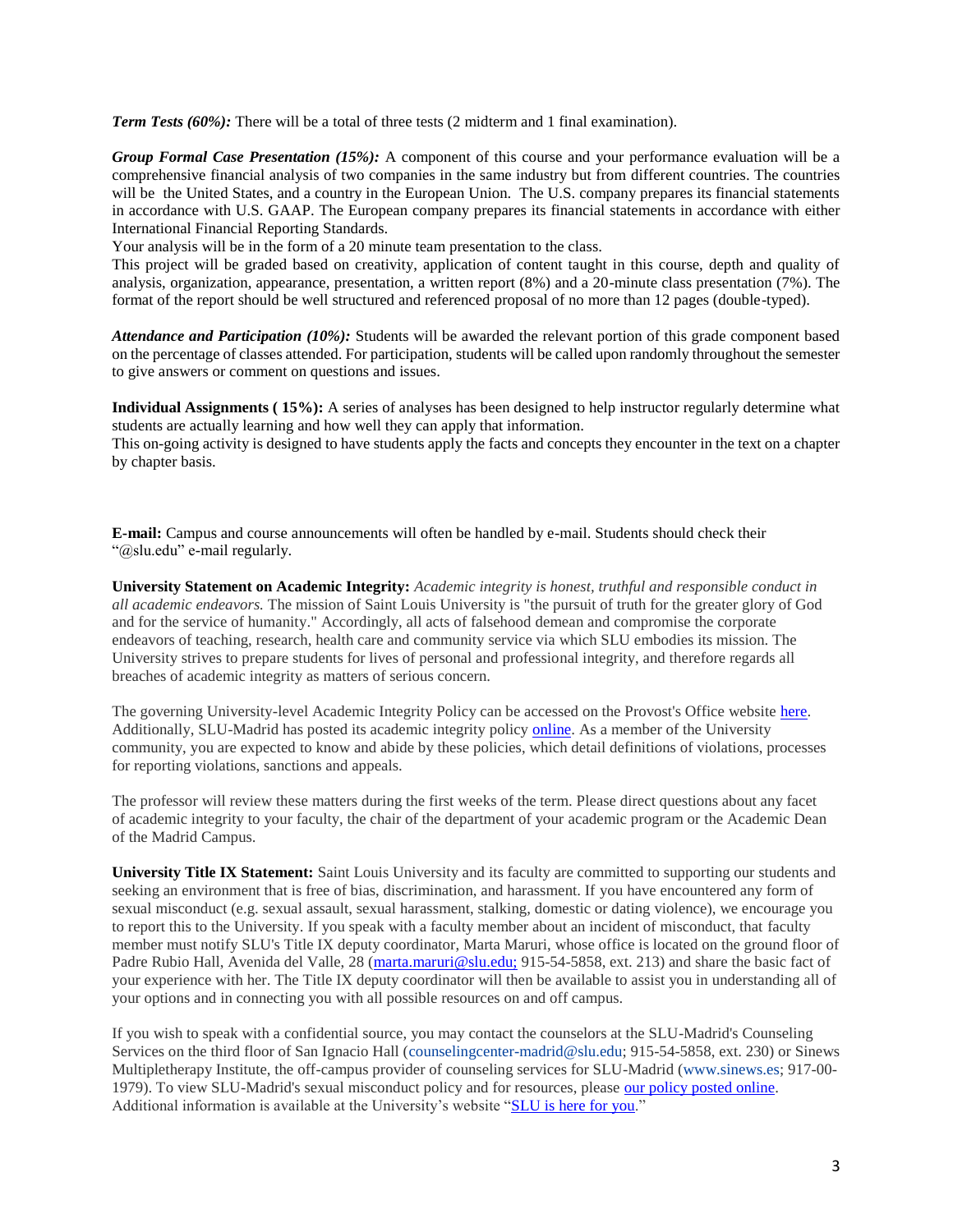*Term Tests (60%):* There will be a total of three tests (2 midterm and 1 final examination).

*Group Formal Case Presentation (15%):* A component of this course and your performance evaluation will be a comprehensive financial analysis of two companies in the same industry but from different countries. The countries will be the United States, and a country in the European Union. The U.S. company prepares its financial statements in accordance with U.S. GAAP. The European company prepares its financial statements in accordance with either International Financial Reporting Standards.

Your analysis will be in the form of a 20 minute team presentation to the class.

This project will be graded based on creativity, application of content taught in this course, depth and quality of analysis, organization, appearance, presentation, a written report (8%) and a 20-minute class presentation (7%). The format of the report should be well structured and referenced proposal of no more than 12 pages (double-typed).

*Attendance and Participation (10%):* Students will be awarded the relevant portion of this grade component based on the percentage of classes attended. For participation, students will be called upon randomly throughout the semester to give answers or comment on questions and issues.

**Individual Assignments ( 15%):** A series of analyses has been designed to help instructor regularly determine what students are actually learning and how well they can apply that information.

This on-going activity is designed to have students apply the facts and concepts they encounter in the text on a chapter by chapter basis.

**E-mail:** Campus and course announcements will often be handled by e-mail. Students should check their "@slu.edu" e-mail regularly.

**University Statement on Academic Integrity:** *Academic integrity is honest, truthful and responsible conduct in all academic endeavors.* The mission of Saint Louis University is "the pursuit of truth for the greater glory of God and for the service of humanity." Accordingly, all acts of falsehood demean and compromise the corporate endeavors of teaching, research, health care and community service via which SLU embodies its mission. The University strives to prepare students for lives of personal and professional integrity, and therefore regards all breaches of academic integrity as matters of serious concern.

The governing University-level Academic Integrity Policy can be accessed on the Provost's Office website [here.](https://www.slu.edu/provost/policies/academic-and-course/policy_academic-integrity_6-26-2015.pdf) Additionally, SLU-Madrid has posted its academic integrity policy [online.](https://www.slu.edu/madrid/academics/academic-resources/academic-advising/academic-integrity-policy.pdf) As a member of the University community, you are expected to know and abide by these policies, which detail definitions of violations, processes for reporting violations, sanctions and appeals.

The professor will review these matters during the first weeks of the term. Please direct questions about any facet of academic integrity to your faculty, the chair of the department of your academic program or the Academic Dean of the Madrid Campus.

**University Title IX Statement:** Saint Louis University and its faculty are committed to supporting our students and seeking an environment that is free of bias, discrimination, and harassment. If you have encountered any form of sexual misconduct (e.g. sexual assault, sexual harassment, stalking, domestic or dating violence), we encourage you to report this to the University. If you speak with a faculty member about an incident of misconduct, that faculty member must notify SLU's Title IX deputy coordinator, Marta Maruri, whose office is located on the ground floor of Padre Rubio Hall, Avenida del Valle, 28 [\(marta.maruri@slu.edu;](mailto:marta.maruri@slu.edu;) 915-54-5858, ext. 213) and share the basic fact of your experience with her. The Title IX deputy coordinator will then be available to assist you in understanding all of your options and in connecting you with all possible resources on and off campus.

If you wish to speak with a confidential source, you may contact the counselors at the SLU-Madrid's Counseling Services on the third floor of San Ignacio Hall [\(counselingcenter-madrid@slu.edu;](mailto:counselingcenter-madrid@slu.edu) 915-54-5858, ext. 230) or Sinews Multipletherapy Institute, the off-campus provider of counseling services for SLU-Madrid [\(www.sinews.es;](http://www.sinews.es/) 917-00 1979). To view SLU-Madrid's sexual misconduct policy and for resources, please [our policy posted online.](https://www.slu.edu/madrid/campus-life/safety-security/docs/sexual-misconduct-policy.pdf) Additional information is available at the University's website ["SLU is here for you.](https://www.slu.edu/about/safety/sexual-assault-resources.php)"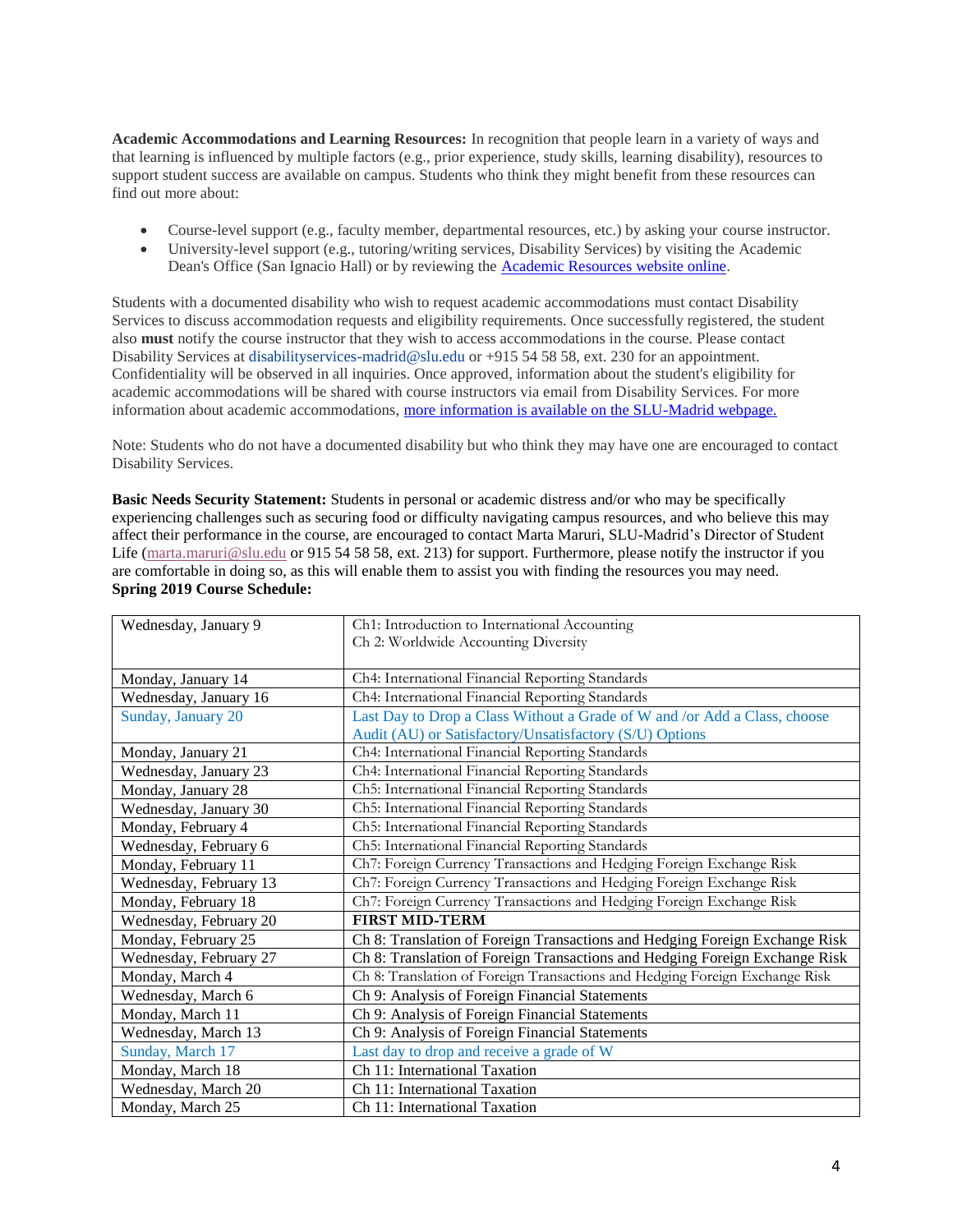**Academic Accommodations and Learning Resources:** In recognition that people learn in a variety of ways and that learning is influenced by multiple factors (e.g., prior experience, study skills, learning disability), resources to support student success are available on campus. Students who think they might benefit from these resources can find out more about:

- Course-level support (e.g., faculty member, departmental resources, etc.) by asking your course instructor.
- University-level support (e.g., tutoring/writing services, Disability Services) by visiting the Academic Dean's Office (San Ignacio Hall) or by reviewing the [Academic Resources website online.](https://www.slu.edu/madrid/academics/academic-resources/disability-services.php)

Students with a documented disability who wish to request academic accommodations must contact Disability Services to discuss accommodation requests and eligibility requirements. Once successfully registered, the student also **must** notify the course instructor that they wish to access accommodations in the course. Please contact Disability Services at disability services-madrid@slu.edu or +915 54 58 58, ext. 230 for an appointment. Confidentiality will be observed in all inquiries. Once approved, information about the student's eligibility for academic accommodations will be shared with course instructors via email from Disability Services. For more information about academic accommodations, [more information is available on the SLU-Madrid webpage.](https://www.slu.edu/madrid/academics/academic-resources/disability-services.php)

Note: Students who do not have a documented disability but who think they may have one are encouraged to contact Disability Services.

**Basic Needs Security Statement:** Students in personal or academic distress and/or who may be specifically experiencing challenges such as securing food or difficulty navigating campus resources, and who believe this may affect their performance in the course, are encouraged to contact Marta Maruri, SLU-Madrid's Director of Student Life [\(marta.maruri@slu.edu](mailto:marta.maruri@slu.edu) or 915 54 58 58, ext. 213) for support. Furthermore, please notify the instructor if you are comfortable in doing so, as this will enable them to assist you with finding the resources you may need. **Spring 2019 Course Schedule:**

| Wednesday, January 9   | Ch1: Introduction to International Accounting                               |
|------------------------|-----------------------------------------------------------------------------|
|                        | Ch 2: Worldwide Accounting Diversity                                        |
|                        |                                                                             |
| Monday, January 14     | Ch4: International Financial Reporting Standards                            |
| Wednesday, January 16  | Ch4: International Financial Reporting Standards                            |
| Sunday, January 20     | Last Day to Drop a Class Without a Grade of W and /or Add a Class, choose   |
|                        | Audit (AU) or Satisfactory/Unsatisfactory (S/U) Options                     |
| Monday, January 21     | Ch4: International Financial Reporting Standards                            |
| Wednesday, January 23  | Ch4: International Financial Reporting Standards                            |
| Monday, January 28     | Ch5: International Financial Reporting Standards                            |
| Wednesday, January 30  | Ch5: International Financial Reporting Standards                            |
| Monday, February 4     | Ch5: International Financial Reporting Standards                            |
| Wednesday, February 6  | Ch5: International Financial Reporting Standards                            |
| Monday, February 11    | Ch7: Foreign Currency Transactions and Hedging Foreign Exchange Risk        |
| Wednesday, February 13 | Ch7: Foreign Currency Transactions and Hedging Foreign Exchange Risk        |
| Monday, February 18    | Ch7: Foreign Currency Transactions and Hedging Foreign Exchange Risk        |
| Wednesday, February 20 | <b>FIRST MID-TERM</b>                                                       |
| Monday, February 25    | Ch 8: Translation of Foreign Transactions and Hedging Foreign Exchange Risk |
| Wednesday, February 27 | Ch 8: Translation of Foreign Transactions and Hedging Foreign Exchange Risk |
| Monday, March 4        | Ch 8: Translation of Foreign Transactions and Hedging Foreign Exchange Risk |
| Wednesday, March 6     | Ch 9: Analysis of Foreign Financial Statements                              |
| Monday, March 11       | Ch 9: Analysis of Foreign Financial Statements                              |
| Wednesday, March 13    | Ch 9: Analysis of Foreign Financial Statements                              |
| Sunday, March 17       | Last day to drop and receive a grade of W                                   |
| Monday, March 18       | Ch 11: International Taxation                                               |
| Wednesday, March 20    | Ch 11: International Taxation                                               |
| Monday, March 25       | Ch 11: International Taxation                                               |